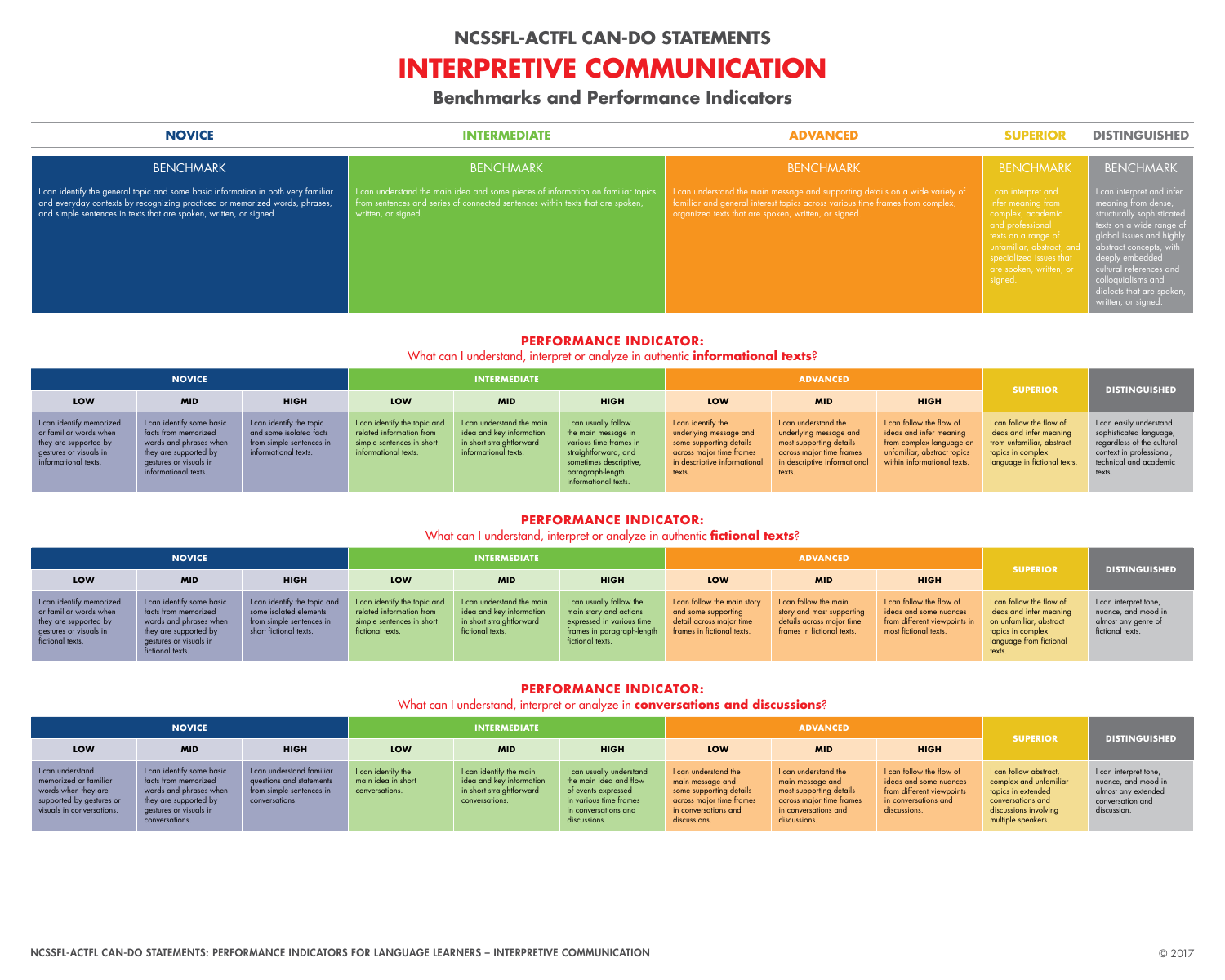

### **NOVICE INTERMEDIATE ADVANCED SUPERIOR DISTINGUISHED**

| <b>BENCHMARK</b>                                                                  | <b>BENCHMARK</b>                                                                 |                             |
|-----------------------------------------------------------------------------------|----------------------------------------------------------------------------------|-----------------------------|
| I can identify the general topic and some basic information in both very familiar | I can understand the main idea and some pieces of information on familiar topics | I can understand the main   |
| and everyday contexts by recognizing practiced or memorized words, phrases,       | from sentences and series of connected sentences within texts that are spoken,   | familiar and general intere |
| and simple sentences in texts that are spoken, written, or signed.                | written, or signed.                                                              | organized texts that are sp |

### BENCHMARK

iessage and supporting details on a wide variety of t topics across various time frames from complex, ken, written, or signed.

### BENCHMARK

texts on a range of

### BENCHMARK

I can interpret and infer meaning from dense, structurally sophisticated texts on a wide range of global issues and highl $\overline{y}$ abstract concepts, with deeply embedded cultural references and colloquialisms and dialects that are spoken, written, or signed.

### **PERFORMANCE INDICATOR:**

What can I understand, interpret or analyze in authentic **informational texts**?

| <b>NOVICE</b>                                                                                                                 |                                                                                                                                                        |                                                                                                         | <b>INTERMEDIATE</b>                                                                                           |                                                                                                           |                                                                                                                                                                     | <b>ADVANCED</b>                                                                                                                               |                                                                                                                                                 |                                                                                                                                               |                                                                                                                                       |                                                                                                                                                  |
|-------------------------------------------------------------------------------------------------------------------------------|--------------------------------------------------------------------------------------------------------------------------------------------------------|---------------------------------------------------------------------------------------------------------|---------------------------------------------------------------------------------------------------------------|-----------------------------------------------------------------------------------------------------------|---------------------------------------------------------------------------------------------------------------------------------------------------------------------|-----------------------------------------------------------------------------------------------------------------------------------------------|-------------------------------------------------------------------------------------------------------------------------------------------------|-----------------------------------------------------------------------------------------------------------------------------------------------|---------------------------------------------------------------------------------------------------------------------------------------|--------------------------------------------------------------------------------------------------------------------------------------------------|
| <b>LOW</b>                                                                                                                    | <b>MID</b>                                                                                                                                             | <b>HIGH</b>                                                                                             | LOW                                                                                                           | <b>MID</b>                                                                                                | <b>HIGH</b>                                                                                                                                                         | LOW                                                                                                                                           | <b>MID</b>                                                                                                                                      | <b>HIGH</b>                                                                                                                                   | <b>SUPERIOR</b>                                                                                                                       | <b>DISTINGUISHED</b>                                                                                                                             |
| I can identify memorized<br>or familiar words when<br>they are supported by<br>gestures or visuals in<br>informational texts. | I can identify some basic<br>facts from memorized<br>words and phrases when<br>they are supported by<br>gestures or visuals in<br>informational texts. | I can identify the topic<br>and some isolated facts<br>from simple sentences in<br>informational texts. | I can identify the topic and<br>related information from<br>simple sentences in short<br>informational texts. | I can understand the main<br>idea and key information<br>in short straightforward<br>informational texts. | I can usually follow<br>the main message in<br>various time frames in<br>straightforward, and<br>sometimes descriptive,<br>paragraph-length<br>informational texts. | I can identify the<br>underlying message and<br>some supporting details<br>across major time frames<br>in descriptive informational<br>texts. | I can understand the<br>underlying message and<br>most supporting details<br>across major time frames<br>in descriptive informational<br>texts. | I can follow the flow of<br>ideas and infer meaning<br>from complex language on<br>unfamiliar, abstract topics<br>within informational texts. | I can follow the flow of<br>ideas and infer meaning<br>from unfamiliar, abstract<br>topics in complex<br>language in fictional texts. | I can easily understand<br>sophisticated language,<br>regardless of the cultural<br>context in professional,<br>technical and academic<br>texts. |

### **PERFORMANCE INDICATOR:**

### What can I understand, interpret or analyze in authentic **fictional texts**?

| <b>NOVICE</b>                                                                                                             |                                                                                                                                                    |                                                                                                              | <b>INTERMEDIATE</b>                                                                                       |                                                                                                       |                                                                                                                                   |                                                                                                              | <b>ADVANCED</b>                                                                                               | <b>SUPERIOR</b>                                                                                             |                                                                                                                                          |                                                                                         |
|---------------------------------------------------------------------------------------------------------------------------|----------------------------------------------------------------------------------------------------------------------------------------------------|--------------------------------------------------------------------------------------------------------------|-----------------------------------------------------------------------------------------------------------|-------------------------------------------------------------------------------------------------------|-----------------------------------------------------------------------------------------------------------------------------------|--------------------------------------------------------------------------------------------------------------|---------------------------------------------------------------------------------------------------------------|-------------------------------------------------------------------------------------------------------------|------------------------------------------------------------------------------------------------------------------------------------------|-----------------------------------------------------------------------------------------|
| <b>LOW</b>                                                                                                                | <b>MID</b>                                                                                                                                         | <b>HIGH</b>                                                                                                  | LOW                                                                                                       | <b>MID</b>                                                                                            | <b>HIGH</b>                                                                                                                       | LOW                                                                                                          | <b>MID</b>                                                                                                    | <b>HIGH</b>                                                                                                 |                                                                                                                                          | <b>DISTINGUISHED</b>                                                                    |
| I can identify memorized<br>or familiar words when<br>they are supported by<br>gestures or visuals in<br>fictional texts. | I can identify some basic<br>facts from memorized<br>words and phrases when<br>they are supported by<br>gestures or visuals in<br>fictional texts. | I can identify the topic and<br>some isolated elements<br>from simple sentences in<br>short fictional texts. | I can identify the topic and<br>related information from<br>simple sentences in short<br>fictional texts. | I can understand the main<br>idea and key information<br>in short straightforward<br>fictional texts. | I can usually follow the<br>main story and actions<br>expressed in various time<br>frames in paragraph-length<br>fictional texts. | I can follow the main story<br>and some supporting<br>detail across major time<br>frames in fictional texts. | I can follow the main<br>story and most supporting<br>details across major time<br>frames in fictional texts. | I can follow the flow of<br>ideas and some nuances<br>from different viewpoints in<br>most fictional texts. | I can follow the flow of<br>ideas and infer meaning<br>on unfamiliar, abstract<br>topics in complex<br>language from fictional<br>texts. | I can interpret tone,<br>nuance, and mood in<br>almost any genre of<br>fictional texts. |

### **PERFORMANCE INDICATOR:**

### What can I understand, interpret or analyze in **conversations and discussions**?

| <b>NOVICE</b>                                                                                                             |                                                                                                                                                  |                                                                                                     | <b>INTERMEDIATE</b>                                        |                                                                                                   |                                                                                                                                             |                                                                                                                                         | <b>ADVANCED</b>                                                                                                                         |                                                                                                                         |                                                                                                                                            |                                                                                                        |
|---------------------------------------------------------------------------------------------------------------------------|--------------------------------------------------------------------------------------------------------------------------------------------------|-----------------------------------------------------------------------------------------------------|------------------------------------------------------------|---------------------------------------------------------------------------------------------------|---------------------------------------------------------------------------------------------------------------------------------------------|-----------------------------------------------------------------------------------------------------------------------------------------|-----------------------------------------------------------------------------------------------------------------------------------------|-------------------------------------------------------------------------------------------------------------------------|--------------------------------------------------------------------------------------------------------------------------------------------|--------------------------------------------------------------------------------------------------------|
| LOW                                                                                                                       | <b>MID</b>                                                                                                                                       | <b>HIGH</b>                                                                                         | LOW                                                        | <b>MID</b>                                                                                        | <b>HIGH</b>                                                                                                                                 | LOW                                                                                                                                     | <b>MID</b>                                                                                                                              | <b>HIGH</b>                                                                                                             | <b>SUPERIOR</b>                                                                                                                            | <b>DISTINGUISHED</b>                                                                                   |
| I can understand<br>memorized or familiar<br>words when they are<br>supported by gestures or<br>visuals in conversations. | I can identify some basic<br>facts from memorized<br>words and phrases when<br>they are supported by<br>gestures or visuals in<br>conversations. | I can understand familiar<br>questions and statements<br>from simple sentences in<br>conversations. | I can identify the<br>main idea in short<br>conversations. | I can identify the main<br>idea and key information<br>in short straightforward<br>conversations. | I can usually understand<br>the main idea and flow<br>of events expressed<br>in various time frames<br>in conversations and<br>discussions. | I can understand the<br>main message and<br>some supporting details<br>across major time frames<br>in conversations and<br>discussions. | I can understand the<br>main message and<br>most supporting details<br>across major time frames<br>in conversations and<br>discussions. | I can follow the flow of<br>ideas and some nuances<br>from different viewpoints<br>in conversations and<br>discussions. | I can follow abstract,<br>complex and unfamiliar<br>topics in extended<br>conversations and<br>discussions involving<br>multiple speakers. | I can interpret tone,<br>nuance, and mood in<br>almost any extended<br>conversation and<br>discussion. |

## **NCSSFL-ACTFL CAN-DO STATEMENTS**

# **INTERPRETIVE COMMUNICATION**

# **Benchmarks and Performance Indicators**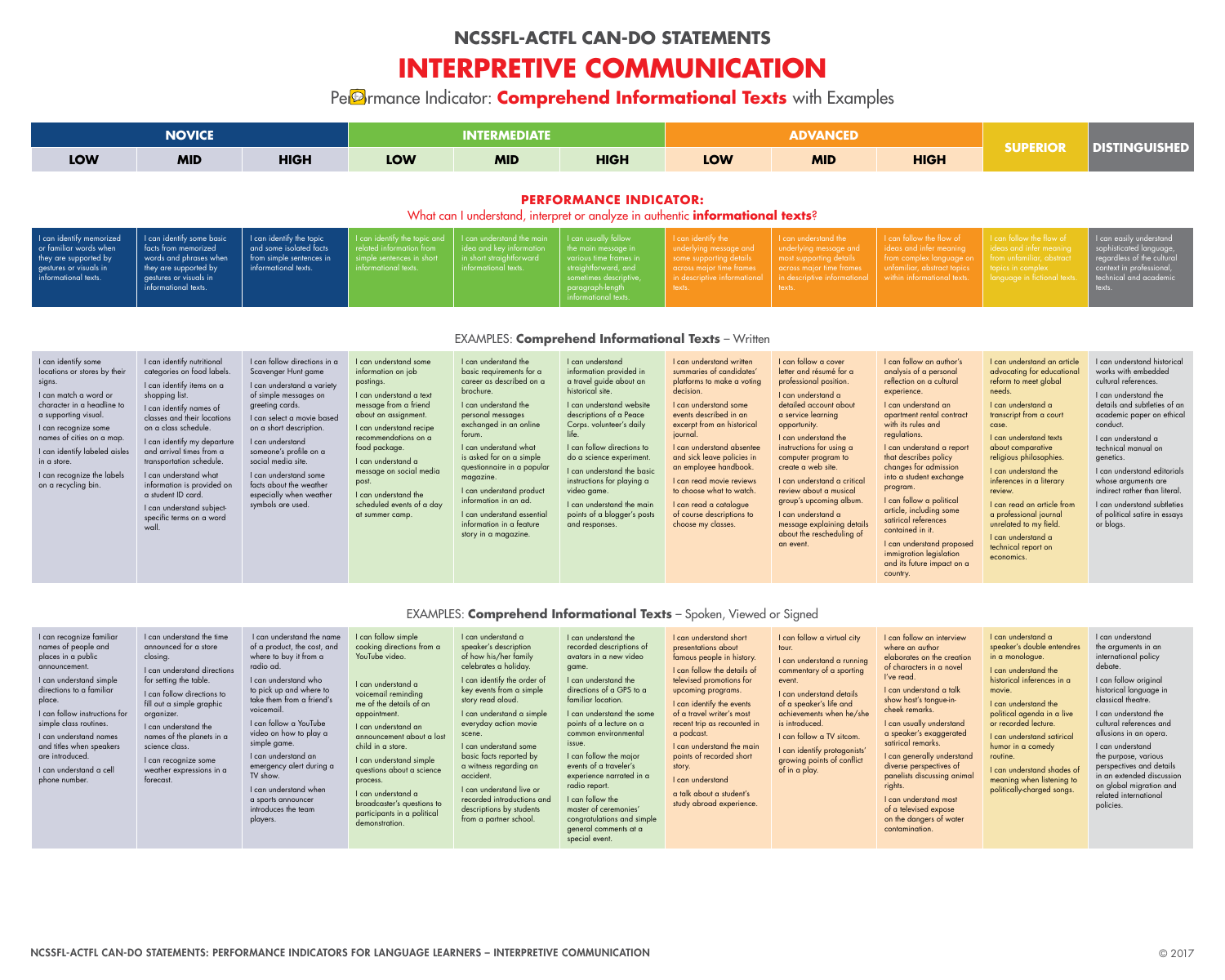|                                                                                                                                                                                                                                                                                                        | <b>NOVICE</b>                                                                                                                                                                                                                                                                                                                                                                                                                  |                                                                                                                                                                                                                                                                                                                                                                | <b>INTERMEDIATE</b>                                                                                                                                                                                                                                                                                                                        |                                                                                                                                                                                                                                                                                                                                                                                                                   |                                                                                                                                                                                                                                                                                                                                                                                                           | <b>ADVANCED</b>                                                                                                                                                                                                                                                                                                                                                                                                      |                                                                                                                                                                                                                                                                                                                                                                                                                                                    |                                                                                                                                                                                                                                                                                                                                                                                                                                                                                                                    | <b>SUPERIOR</b>                                                                                                                                                                                                                                                                                                                                                                                                                             | <b>DISTINGUISHED</b>                                                                                                                                                                                                                                                                                                                                                                                      |  |
|--------------------------------------------------------------------------------------------------------------------------------------------------------------------------------------------------------------------------------------------------------------------------------------------------------|--------------------------------------------------------------------------------------------------------------------------------------------------------------------------------------------------------------------------------------------------------------------------------------------------------------------------------------------------------------------------------------------------------------------------------|----------------------------------------------------------------------------------------------------------------------------------------------------------------------------------------------------------------------------------------------------------------------------------------------------------------------------------------------------------------|--------------------------------------------------------------------------------------------------------------------------------------------------------------------------------------------------------------------------------------------------------------------------------------------------------------------------------------------|-------------------------------------------------------------------------------------------------------------------------------------------------------------------------------------------------------------------------------------------------------------------------------------------------------------------------------------------------------------------------------------------------------------------|-----------------------------------------------------------------------------------------------------------------------------------------------------------------------------------------------------------------------------------------------------------------------------------------------------------------------------------------------------------------------------------------------------------|----------------------------------------------------------------------------------------------------------------------------------------------------------------------------------------------------------------------------------------------------------------------------------------------------------------------------------------------------------------------------------------------------------------------|----------------------------------------------------------------------------------------------------------------------------------------------------------------------------------------------------------------------------------------------------------------------------------------------------------------------------------------------------------------------------------------------------------------------------------------------------|--------------------------------------------------------------------------------------------------------------------------------------------------------------------------------------------------------------------------------------------------------------------------------------------------------------------------------------------------------------------------------------------------------------------------------------------------------------------------------------------------------------------|---------------------------------------------------------------------------------------------------------------------------------------------------------------------------------------------------------------------------------------------------------------------------------------------------------------------------------------------------------------------------------------------------------------------------------------------|-----------------------------------------------------------------------------------------------------------------------------------------------------------------------------------------------------------------------------------------------------------------------------------------------------------------------------------------------------------------------------------------------------------|--|
| <b>LOW</b>                                                                                                                                                                                                                                                                                             | <b>MID</b>                                                                                                                                                                                                                                                                                                                                                                                                                     | <b>HIGH</b>                                                                                                                                                                                                                                                                                                                                                    | <b>LOW</b>                                                                                                                                                                                                                                                                                                                                 | <b>MID</b>                                                                                                                                                                                                                                                                                                                                                                                                        | <b>HIGH</b>                                                                                                                                                                                                                                                                                                                                                                                               | <b>LOW</b>                                                                                                                                                                                                                                                                                                                                                                                                           | <b>MID</b>                                                                                                                                                                                                                                                                                                                                                                                                                                         | <b>HIGH</b>                                                                                                                                                                                                                                                                                                                                                                                                                                                                                                        |                                                                                                                                                                                                                                                                                                                                                                                                                                             |                                                                                                                                                                                                                                                                                                                                                                                                           |  |
| <b>PERFORMANCE INDICATOR:</b><br>What can I understand, interpret or analyze in authentic <b>informational texts</b> ?                                                                                                                                                                                 |                                                                                                                                                                                                                                                                                                                                                                                                                                |                                                                                                                                                                                                                                                                                                                                                                |                                                                                                                                                                                                                                                                                                                                            |                                                                                                                                                                                                                                                                                                                                                                                                                   |                                                                                                                                                                                                                                                                                                                                                                                                           |                                                                                                                                                                                                                                                                                                                                                                                                                      |                                                                                                                                                                                                                                                                                                                                                                                                                                                    |                                                                                                                                                                                                                                                                                                                                                                                                                                                                                                                    |                                                                                                                                                                                                                                                                                                                                                                                                                                             |                                                                                                                                                                                                                                                                                                                                                                                                           |  |
| I can identify memorized<br>or familiar words when<br>they are supported by<br>gestures or visuals in<br>informational texts.                                                                                                                                                                          | I can identify some basic<br>facts from memorized<br>words and phrases when<br>they are supported by<br>gestures or visuals in<br>informational texts.                                                                                                                                                                                                                                                                         | I can identify the topic<br>and some isolated facts<br>from simple sentences in<br>informational texts                                                                                                                                                                                                                                                         | I can identify the topic and<br>related information from<br>simple sentences in short<br>informational texts.                                                                                                                                                                                                                              | I can understand the main<br>idea and key information<br>in short straightforward<br>informational texts.                                                                                                                                                                                                                                                                                                         | I can usually follow<br>the main message in<br>various time frames in<br>straightforward, and<br>sometimes descriptive,<br>paragraph-length<br>nformational texts.                                                                                                                                                                                                                                        | I can identify the<br>underlying message and<br>some supporting details<br>across major time frames<br>in descriptive informational<br>texts.                                                                                                                                                                                                                                                                        | I can understand the<br>underlying message and<br>most supporting details<br>across major time frames<br>in descriptive informational<br>texts.                                                                                                                                                                                                                                                                                                    | I can follow the flow of<br>ideas and infer meaning<br>from complex language on<br>unfamiliar, abstract topics<br>within informational texts.                                                                                                                                                                                                                                                                                                                                                                      | I can follow the flow of<br>ideas and infer meaning<br>from unfamiliar, abstract<br>topics in complex<br>language in fictional texts.                                                                                                                                                                                                                                                                                                       | I can easily understand<br>sophisticated language,<br>regardless of the cultural<br>context in professional,<br>technical and academic<br>texts.                                                                                                                                                                                                                                                          |  |
| <b>EXAMPLES: Comprehend Informational Texts - Written</b>                                                                                                                                                                                                                                              |                                                                                                                                                                                                                                                                                                                                                                                                                                |                                                                                                                                                                                                                                                                                                                                                                |                                                                                                                                                                                                                                                                                                                                            |                                                                                                                                                                                                                                                                                                                                                                                                                   |                                                                                                                                                                                                                                                                                                                                                                                                           |                                                                                                                                                                                                                                                                                                                                                                                                                      |                                                                                                                                                                                                                                                                                                                                                                                                                                                    |                                                                                                                                                                                                                                                                                                                                                                                                                                                                                                                    |                                                                                                                                                                                                                                                                                                                                                                                                                                             |                                                                                                                                                                                                                                                                                                                                                                                                           |  |
| I can identify some<br>locations or stores by their<br>signs.<br>I can match a word or<br>character in a headline to<br>a supporting visual.<br>I can recognize some<br>names of cities on a map.<br>I can identify labeled aisles<br>in a store.<br>I can recognize the labels<br>on a recycling bin. | I can identify nutritional<br>categories on food labels.<br>I can identify items on a<br>shopping list.<br>I can identify names of<br>classes and their locations<br>on a class schedule.<br>I can identify my departure<br>and arrival times from a<br>transportation schedule.<br>I can understand what<br>information is provided on<br>a student ID card<br>I can understand subject-<br>specific terms on a word<br>wall. | I can follow directions in a<br>Scavenger Hunt game<br>I can understand a variety<br>of simple messages on<br>greeting cards.<br>I can select a movie based<br>on a short description.<br>I can understand<br>someone's profile on a<br>social media site.<br>I can understand some<br>facts about the weather<br>especially when weather<br>symbols are used. | I can understand some<br>information on job<br>postings.<br>I can understand a text<br>message from a friend<br>about an assignment.<br>I can understand recipe<br>recommendations on a<br>food package.<br>I can understand a<br>message on social media<br>post.<br>I can understand the<br>scheduled events of a day<br>at summer camp. | I can understand the<br>basic requirements for a<br>career as described on a<br>brochure.<br>I can understand the<br>personal messages<br>exchanged in an online<br>forum.<br>I can understand what<br>is asked for on a simple<br>questionnaire in a popular<br>magazine.<br>I can understand product<br>information in an ad.<br>I can understand essential<br>information in a feature<br>story in a magazine. | I can understand<br>information provided in<br>a travel guide about an<br>historical site.<br>I can understand website<br>descriptions of a Peace<br>Corps. volunteer's daily<br>life.<br>I can follow directions to<br>do a science experiment.<br>I can understand the basic<br>instructions for playing a<br>video game.<br>I can understand the main<br>points of a blogger's posts<br>and responses. | I can understand written<br>summaries of candidates'<br>platforms to make a voting<br>decision.<br>I can understand some<br>events described in an<br>excerpt from an historical<br>journal.<br>I can understand absentee<br>and sick leave policies in<br>an employee handbook<br>I can read movie reviews<br>to choose what to watch.<br>I can read a catalogue<br>of course descriptions to<br>choose my classes. | I can follow a cover<br>letter and résumé for a<br>professional position.<br>I can understand a<br>detailed account about<br>a service learning<br>opportunity.<br>I can understand the<br>instructions for using a<br>computer program to<br>create a web site.<br>I can understand a critical<br>review about a musical<br>group's upcoming album.<br>I can understand a<br>message explaining details<br>about the rescheduling of<br>an event. | I can follow an author's<br>analysis of a personal<br>reflection on a cultural<br>experience.<br>I can understand an<br>apartment rental contract<br>with its rules and<br>regulations.<br>I can understand a report<br>that describes policy<br>changes for admission<br>into a student exchange<br>program.<br>I can follow a political<br>article, including some<br>satirical references<br>contained in it.<br>I can understand proposed<br>immigration legislation<br>and its future impact on a<br>country. | I can understand an article<br>advocating for educational<br>reform to meet global<br>needs.<br>I can understand a<br>transcript from a court<br>case.<br>I can understand texts<br>about comparative<br>religious philosophies<br>I can understand the<br>inferences in a literary<br>review.<br>I can read an article from<br>a professional journal<br>unrelated to my field.<br>I can understand a<br>technical report on<br>economics. | I can understand historical<br>works with embedded<br>cultural references.<br>I can understand the<br>details and subtleties of an<br>academic paper on ethical<br>conduct.<br>I can understand a<br>technical manual on<br>genetics.<br>I can understand editorials<br>whose arguments are<br>indirect rather than literal.<br>I can understand subtleties<br>of political satire in essays<br>or blogs. |  |

I can understand the time announced for a store closing. I can understand directions

I can follow simple cooking directions from a YouTube video.

### EXAMPLES: **Comprehend Informational Texts** – Spoken, Viewed or Signed

### I can recognize familiar names of people and places in a public announcement.

I can understand simple directions to a familiar place.

I can follow instructions for simple class routines.

I can understand names and titles when speakers are introduced.

I can understand a cell phone number.

for setting the table. I can follow directions to fill out a simple graphic

organizer. I can understand the names of the planets in a

science class. I can recognize some weather expressions in a

forecast.

 I can understand the name of a product, the cost, and where to buy it from a radio ad. I can understand who to pick up and where to take them from a friend's

voicemail. I can follow a YouTube video on how to play a

simple game. I can understand an emergency alert during a

TV show. I can understand when a sports announcer introduces the team

players.

I can understand a voicemail reminding me of the details of an

appointment. I can understand an announcement about a lost

child in a store. I can understand simple questions about a science

process. I can understand a broadcaster's questions to participants in a political

demonstration.

I can understand a simple everyday action movie scene.

I can understand some basic facts reported by a witness regarding an accident.

I can understand a speaker's description of how his/her family celebrates a holiday. I can identify the order of key events from a simple story read aloud. game. familiar location.

I can understand live or recorded introductions and descriptions by students from a partner school.

I can understand the recorded descriptions of avatars in a new video

I can understand the some points of a lecture on a common environmental

issue.

I can follow the major events of a traveler's experience narrated in a

radio report.

I can understand the directions of a GPS to a I can follow the details of televised promotions for upcoming programs.

I can follow the master of ceremonies' congratulations and simple general comments at a special event.

I can understand short presentations about famous people in history.

I can identify the events of a travel writer's most recent trip as recounted in a podcast.

I can understand the main points of recorded short story.

I can understand

a talk about a student's study abroad experience.

I can follow a virtual city tour.

I can understand a running commentary of a sporting event.

I can understand details of a speaker's life and achievements when he/she is introduced.

I can follow a TV sitcom.

I can identify protagonists' growing points of conflict of in a play.

I can follow an interview where an author elaborates on the creation of characters in a novel

I've read. I can understand a talk show host's tongue-in-

cheek remarks. I can usually understand a speaker's exaggerated

satirical remarks. I can generally understand

diverse perspectives of panelists discussing animal rights. I can understand most

of a televised expose on the dangers of water contamination.

I can understand a speaker's double entendres in a monologue.

I can understand the historical inferences in a movie.

I can understand the political agenda in a live or recorded lecture.

I can understand satirical humor in a comedy routine.

I can understand shades of meaning when listening to politically-charged songs.

I can understand the arguments in an international policy debate.

I can follow original historical language in classical theatre.

I can understand the cultural references and allusions in an opera.

I can understand the purpose, various perspectives and details in an extended discussion on global migration and related international policies.

## **NCSSFL-ACTFL CAN-DO STATEMENTS**

# **INTERPRETIVE COMMUNICATION**

## Per**D**rmance Indicator: **Comprehend Informational Texts** with Examples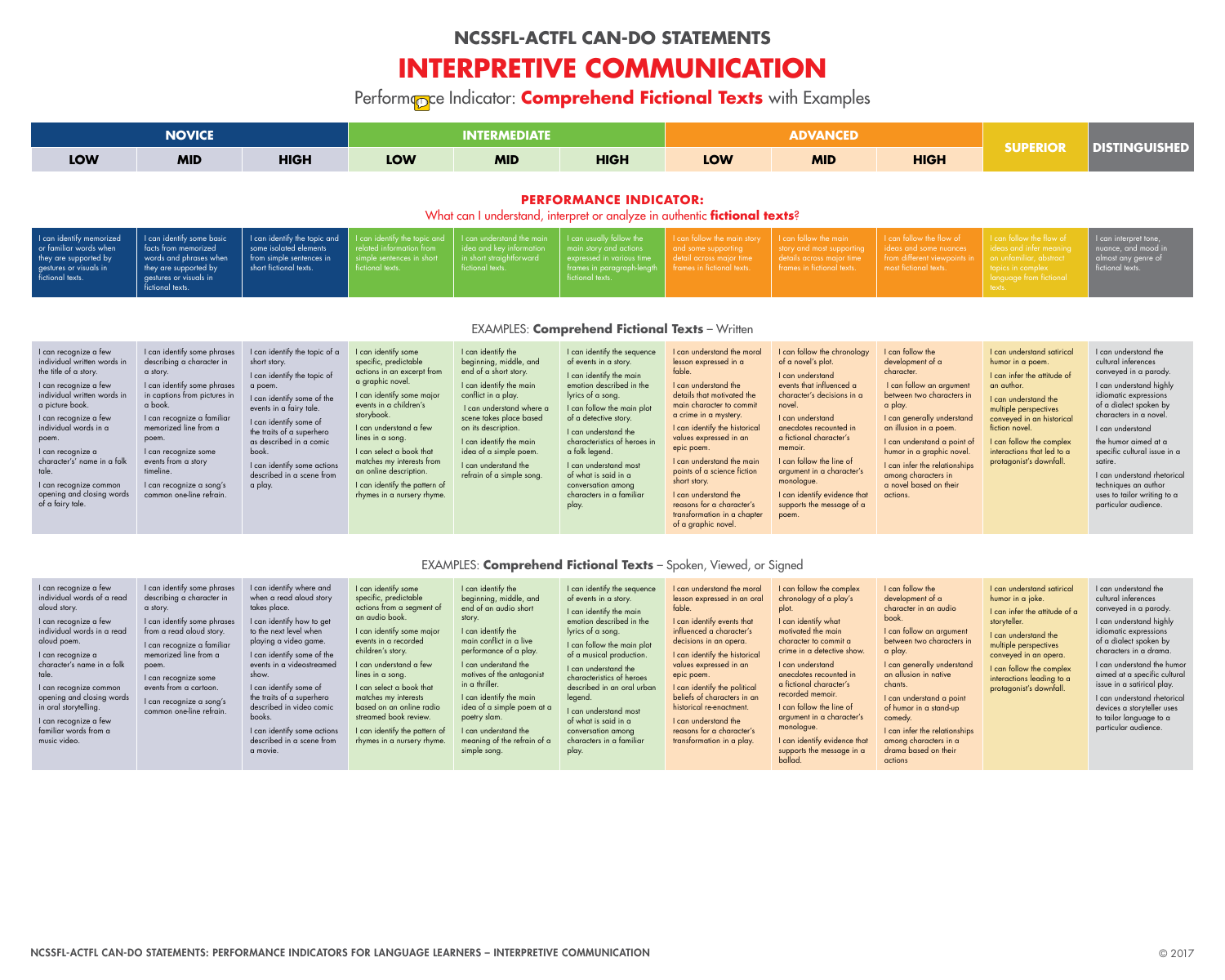|                                                                                                                                                                                                                                                                                                                                                             | <b>NOVICE</b>                                                                                                                                                                                                                                                                                                                      |                                                                                                                                                                                                                                                                                                                    |                                                                                                                                                                                                                                                                                                                                                                     | <b>INTERMEDIATE</b>                                                                                                                                                                                                                                                                                           |                                                                                                                                                                                                                                                                                                                                                                              |                                                                                                                                                                                                                                                                                                                                                                                                                                          | <b>ADVANCED</b>                                                                                                                                                                                                                                                                                                                                                            |                                                                                                                                                                                                                                                                                                                                          |                                                                                                                                                                                                                                                                                  |                                                                                                                                                                                                                                                                                                                                                                                   |
|-------------------------------------------------------------------------------------------------------------------------------------------------------------------------------------------------------------------------------------------------------------------------------------------------------------------------------------------------------------|------------------------------------------------------------------------------------------------------------------------------------------------------------------------------------------------------------------------------------------------------------------------------------------------------------------------------------|--------------------------------------------------------------------------------------------------------------------------------------------------------------------------------------------------------------------------------------------------------------------------------------------------------------------|---------------------------------------------------------------------------------------------------------------------------------------------------------------------------------------------------------------------------------------------------------------------------------------------------------------------------------------------------------------------|---------------------------------------------------------------------------------------------------------------------------------------------------------------------------------------------------------------------------------------------------------------------------------------------------------------|------------------------------------------------------------------------------------------------------------------------------------------------------------------------------------------------------------------------------------------------------------------------------------------------------------------------------------------------------------------------------|------------------------------------------------------------------------------------------------------------------------------------------------------------------------------------------------------------------------------------------------------------------------------------------------------------------------------------------------------------------------------------------------------------------------------------------|----------------------------------------------------------------------------------------------------------------------------------------------------------------------------------------------------------------------------------------------------------------------------------------------------------------------------------------------------------------------------|------------------------------------------------------------------------------------------------------------------------------------------------------------------------------------------------------------------------------------------------------------------------------------------------------------------------------------------|----------------------------------------------------------------------------------------------------------------------------------------------------------------------------------------------------------------------------------------------------------------------------------|-----------------------------------------------------------------------------------------------------------------------------------------------------------------------------------------------------------------------------------------------------------------------------------------------------------------------------------------------------------------------------------|
| <b>LOW</b>                                                                                                                                                                                                                                                                                                                                                  | <b>MID</b>                                                                                                                                                                                                                                                                                                                         | <b>HIGH</b>                                                                                                                                                                                                                                                                                                        | <b>LOW</b>                                                                                                                                                                                                                                                                                                                                                          | <b>MID</b>                                                                                                                                                                                                                                                                                                    | <b>HIGH</b>                                                                                                                                                                                                                                                                                                                                                                  | <b>LOW</b>                                                                                                                                                                                                                                                                                                                                                                                                                               | <b>MID</b>                                                                                                                                                                                                                                                                                                                                                                 | <b>HIGH</b>                                                                                                                                                                                                                                                                                                                              | <b>SUPERIOR</b>                                                                                                                                                                                                                                                                  | <b>DISTINGUISHED</b>                                                                                                                                                                                                                                                                                                                                                              |
|                                                                                                                                                                                                                                                                                                                                                             |                                                                                                                                                                                                                                                                                                                                    |                                                                                                                                                                                                                                                                                                                    |                                                                                                                                                                                                                                                                                                                                                                     |                                                                                                                                                                                                                                                                                                               | <b>PERFORMANCE INDICATOR:</b><br>What can I understand, interpret or analyze in authentic <b>fictional texts</b> ?                                                                                                                                                                                                                                                           |                                                                                                                                                                                                                                                                                                                                                                                                                                          |                                                                                                                                                                                                                                                                                                                                                                            |                                                                                                                                                                                                                                                                                                                                          |                                                                                                                                                                                                                                                                                  |                                                                                                                                                                                                                                                                                                                                                                                   |
| I can identify memorized<br>or familiar words when<br>they are supported by<br>gestures or visuals in<br>fictional texts.                                                                                                                                                                                                                                   | I can identify some basic<br>facts from memorized<br>words and phrases when<br>they are supported by<br>gestures or visuals in<br>fictional texts.                                                                                                                                                                                 | I can identify the topic and<br>some isolated elements<br>from simple sentences in<br>short fictional texts.                                                                                                                                                                                                       | can identify the topic and<br>related information from<br>simple sentences in short<br>fictional texts.                                                                                                                                                                                                                                                             | I can understand the main<br>idea and key information<br>in short straightforward<br>fictional texts.                                                                                                                                                                                                         | I can usually follow the<br>main story and actions<br>expressed in various time<br>frames in paragraph-lengt<br>fictional texts.                                                                                                                                                                                                                                             | I can follow the main story<br>and some supporting<br>detail across major time<br>frames in fictional texts.                                                                                                                                                                                                                                                                                                                             | can follow the main<br>story and most supporting<br>details across major time<br>frames in fictional texts.                                                                                                                                                                                                                                                                | I can follow the flow of<br>ideas and some nuances<br>from different viewpoints in<br>most fictional texts.                                                                                                                                                                                                                              | I can follow the flow of<br>ideas and infer meaning<br>on unfamiliar, abstract<br>topics in complex<br>language from fictional<br>texts.                                                                                                                                         | I can interpret tone,<br>nuance, and mood in<br>almost any genre of<br>fictional texts.                                                                                                                                                                                                                                                                                           |
|                                                                                                                                                                                                                                                                                                                                                             |                                                                                                                                                                                                                                                                                                                                    |                                                                                                                                                                                                                                                                                                                    |                                                                                                                                                                                                                                                                                                                                                                     |                                                                                                                                                                                                                                                                                                               | <b>EXAMPLES: Comprehend Fictional Texts - Written</b>                                                                                                                                                                                                                                                                                                                        |                                                                                                                                                                                                                                                                                                                                                                                                                                          |                                                                                                                                                                                                                                                                                                                                                                            |                                                                                                                                                                                                                                                                                                                                          |                                                                                                                                                                                                                                                                                  |                                                                                                                                                                                                                                                                                                                                                                                   |
| I can recognize a few<br>individual written words in<br>the title of a story.<br>I can recognize a few<br>individual written words in<br>a picture book.<br>I can recognize a few<br>individual words in a<br>poem.<br>I can recognize a<br>character's' name in a folk<br>tale.<br>I can recognize common<br>opening and closing words<br>of a fairy tale. | I can identify some phrases<br>describing a character in<br>a story.<br>I can identify some phrases<br>in captions from pictures in<br>a book.<br>I can recognize a familiar<br>memorized line from a<br>poem.<br>I can recognize some<br>events from a story<br>timeline.<br>I can recognize a song's<br>common one-line retrain. | I can identify the topic of a<br>short story.<br>I can identify the topic of<br>a poem.<br>I can identify some of the<br>events in a fairy tale.<br>I can identify some of<br>the traits of a superhero<br>as described in a comic<br>book.<br>I can identify some actions<br>described in a scene from<br>a play. | I can identify some<br>specific, predictable<br>actions in an excerpt from<br>a graphic novel.<br>I can identify some major<br>events in a children's<br>storybook.<br>I can understand a few<br>lines in a song.<br>I can select a book that<br>matches my interests from<br>an online description.<br>I can identify the pattern of<br>rhymes in a nursery rhyme. | I can identify the<br>beginning, middle, and<br>end of a short story.<br>I can identify the main<br>conflict in a play.<br>I can understand where a<br>scene takes place based<br>on its description.<br>I can identify the main<br>idea of a simple poem<br>I can understand the<br>refrain of a simple song | I can identify the sequence<br>of events in a story.<br>I can identify the main<br>emotion described in the<br>lyrics of a song.<br>I can follow the main plot<br>of a detective story.<br>I can understand the<br>characteristics of heroes in<br>a folk legend<br>I can understand most<br>of what is said in a<br>conversation among<br>characters in a familiar<br>play. | I can understand the moral<br>lesson expressed in a<br>fable.<br>I can understand the<br>details that motivated the<br>main character to commit<br>a crime in a mystery.<br>I can identify the historical<br>values expressed in an<br>epic poem.<br>I can understand the main<br>points of a science fiction<br>short story.<br>I can understand the<br>reasons for a character's<br>transformation in a chapter<br>of a graphic novel. | I can follow the chronology<br>of a novel's plot.<br>I can understand<br>events that influenced a<br>character's decisions in a<br>novel.<br>I can understand<br>anecdotes recounted in<br>a fictional character's<br>memoir.<br>I can follow the line of<br>argument in a character's<br>monologue.<br>I can identify evidence that<br>supports the message of a<br>poem. | I can follow the<br>development of a<br>character.<br>I can follow an argument<br>between two characters in<br>a play.<br>I can generally understand<br>an illusion in a poem.<br>I can understand a point of<br>humor in a graphic novel.<br>I can infer the relationships<br>among characters in<br>a novel based on their<br>actions. | I can understand satirical<br>humor in a poem.<br>I can infer the attitude of<br>an author.<br>I can understand the<br>multiple perspectives<br>conveyed in an historical<br>fiction novel.<br>I can follow the complex<br>interactions that led to a<br>protagonist's downfall. | I can understand the<br>cultural inferences<br>conveyed in a parody.<br>I can understand highly<br>idiomatic expressions<br>of a dialect spoken by<br>characters in a novel.<br>I can understand<br>the humor aimed at a<br>specific cultural issue in a<br>satire.<br>I can understand rhetorical<br>techniques an author<br>uses to tailor writing to a<br>particular audience. |
|                                                                                                                                                                                                                                                                                                                                                             |                                                                                                                                                                                                                                                                                                                                    |                                                                                                                                                                                                                                                                                                                    |                                                                                                                                                                                                                                                                                                                                                                     |                                                                                                                                                                                                                                                                                                               | EXAMPLES: <b>Comprehend Fictional Texts</b> - Spoken, Viewed, or Signed                                                                                                                                                                                                                                                                                                      |                                                                                                                                                                                                                                                                                                                                                                                                                                          |                                                                                                                                                                                                                                                                                                                                                                            |                                                                                                                                                                                                                                                                                                                                          |                                                                                                                                                                                                                                                                                  |                                                                                                                                                                                                                                                                                                                                                                                   |
| I can recognize a few<br>individual words of a read<br>aloud story.<br>I can recognize a few<br>individual words in a read<br>aloud poem.<br>I can recognize a                                                                                                                                                                                              | I can identify some phrases<br>describing a character in<br>a story.<br>I can identify some phrases<br>from a read aloud story.<br>I can recognize a familiar<br>memorized line from a                                                                                                                                             | I can identify where and<br>when a read aloud story<br>takes place.<br>I can identify how to get<br>to the next level when<br>playing a video game<br>I can identify some of the                                                                                                                                   | I can identify some<br>specific, predictable<br>actions from a segment of<br>an audio book.<br>I can identify some major<br>events in a recorded<br>children's story.                                                                                                                                                                                               | I can identify the<br>beginning, middle, and<br>end of an audio short<br>story.<br>I can identify the<br>main conflict in a live<br>performance of a play.                                                                                                                                                    | I can identify the sequence<br>of events in a story.<br>I can identify the main<br>emotion described in the<br>lyrics of a song.<br>I can follow the main plot<br>of a musical production.                                                                                                                                                                                   | I can understand the moral<br>lesson expressed in an oral<br>fable.<br>I can identify events that<br>influenced a character's<br>decisions in an opera.<br>I can identify the historical                                                                                                                                                                                                                                                 | I can follow the complex<br>chronology of a play's<br>plot.<br>I can identify what<br>motivated the main<br>character to commit a<br>crime in a detective show.                                                                                                                                                                                                            | I can follow the<br>development of a<br>character in an audio<br>book.<br>I can follow an argument<br>between two characters in<br>a play.                                                                                                                                                                                               | I can understand satirical<br>humor in a joke.<br>I can infer the attitude of a<br>storyteller.<br>I can understand the<br>multiple perspectives<br>conveyed in an opera.                                                                                                        | I can understand the<br>cultural inferences<br>conveyed in a parody.<br>I can understand highly<br>idiomatic expressions<br>of a dialect spoken by<br>characters in a drama.                                                                                                                                                                                                      |

I can recognize a character's name in a folk tale.

I can recognize common opening and closing words in oral storytelling. I can recognize a few

familiar words from a music video.

memorized line from a poem. I can recognize some events from a cartoon.

I can recognize a song's common one-line refrain.

I can identify some of the events in a videostreamed show.

I can identify some of the traits of a superhero described in video comic books.

I can identify some actions described in a scene from a movie.

I can understand a few lines in a song.

I can select a book that matches my interests based on an online radio streamed book review.

I can identify the pattern of rhymes in a nursery rhyme. I can understand the motives of the antagonist in a thriller.

I can identify the main idea of a simple poem at a poetry slam.

I can understand the meaning of the refrain of a simple song.

I can understand the characteristics of heroes described in an oral urban

legend.

I can understand most of what is said in a conversation among characters in a familiar

play.

I can identify the historical values expressed in an epic poem.

I can identify the political beliefs of characters in an historical re-enactment. I can understand the

reasons for a character's transformation in a play.

| <b>ADVANCED</b> |  |
|-----------------|--|
|                 |  |

I can understand anecdotes recounted in a fictional character's recorded memoir.

I can follow the line of argument in a character's monologue.

I can identify evidence that supports the message in a ballad.

I can generally understand an allusion in native chants.

I can understand a point of humor in a stand-up comedy.

I can infer the relationships among characters in a drama based on their actions

I can follow the complex interactions leading to a protagonist's downfall.

I can understand the humor aimed at a specific cultural issue in a satirical play.

I can understand rhetorical devices a storyteller uses to tailor language to a particular audience.

## **NCSSFL-ACTFL CAN-DO STATEMENTS**

# **INTERPRETIVE COMMUNICATION**

Performance Indicator: **Comprehend Fictional Texts** with Examples